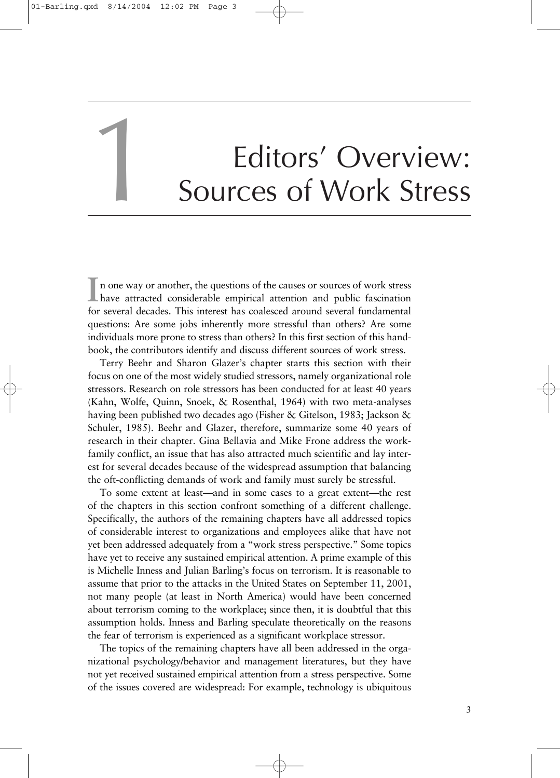## Editors' Overview:<br>Sources of Work Stress

In one way or another, the questions of the causes or sources of work stress<br>have attracted considerable empirical attention and public fascination n one way or another, the questions of the causes or sources of work stress for several decades. This interest has coalesced around several fundamental questions: Are some jobs inherently more stressful than others? Are some individuals more prone to stress than others? In this first section of this handbook, the contributors identify and discuss different sources of work stress.

Terry Beehr and Sharon Glazer's chapter starts this section with their focus on one of the most widely studied stressors, namely organizational role stressors. Research on role stressors has been conducted for at least 40 years (Kahn, Wolfe, Quinn, Snoek, & Rosenthal, 1964) with two meta-analyses having been published two decades ago (Fisher & Gitelson, 1983; Jackson & Schuler, 1985). Beehr and Glazer, therefore, summarize some 40 years of research in their chapter. Gina Bellavia and Mike Frone address the workfamily conflict, an issue that has also attracted much scientific and lay interest for several decades because of the widespread assumption that balancing the oft-conflicting demands of work and family must surely be stressful.

To some extent at least—and in some cases to a great extent—the rest of the chapters in this section confront something of a different challenge. Specifically, the authors of the remaining chapters have all addressed topics of considerable interest to organizations and employees alike that have not yet been addressed adequately from a "work stress perspective." Some topics have yet to receive any sustained empirical attention. A prime example of this is Michelle Inness and Julian Barling's focus on terrorism. It is reasonable to assume that prior to the attacks in the United States on September 11, 2001, not many people (at least in North America) would have been concerned about terrorism coming to the workplace; since then, it is doubtful that this assumption holds. Inness and Barling speculate theoretically on the reasons the fear of terrorism is experienced as a significant workplace stressor.

The topics of the remaining chapters have all been addressed in the organizational psychology/behavior and management literatures, but they have not yet received sustained empirical attention from a stress perspective. Some of the issues covered are widespread: For example, technology is ubiquitous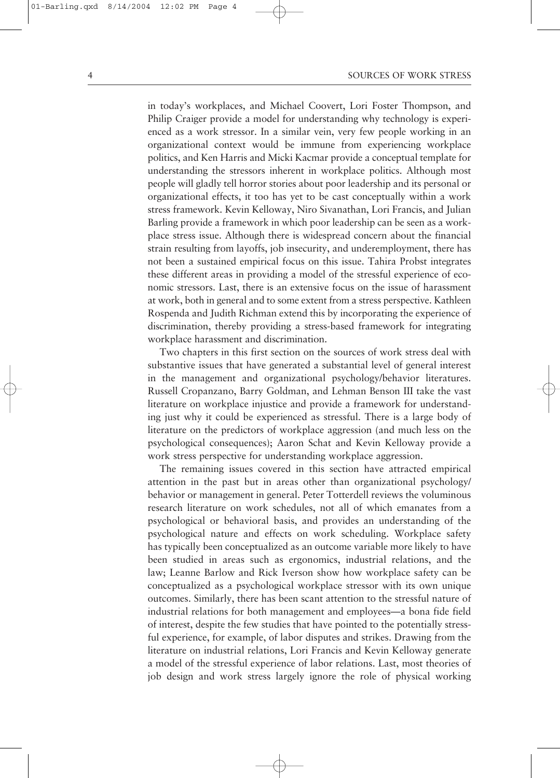in today's workplaces, and Michael Coovert, Lori Foster Thompson, and Philip Craiger provide a model for understanding why technology is experienced as a work stressor. In a similar vein, very few people working in an organizational context would be immune from experiencing workplace politics, and Ken Harris and Micki Kacmar provide a conceptual template for understanding the stressors inherent in workplace politics. Although most people will gladly tell horror stories about poor leadership and its personal or organizational effects, it too has yet to be cast conceptually within a work stress framework. Kevin Kelloway, Niro Sivanathan, Lori Francis, and Julian Barling provide a framework in which poor leadership can be seen as a workplace stress issue. Although there is widespread concern about the financial strain resulting from layoffs, job insecurity, and underemployment, there has not been a sustained empirical focus on this issue. Tahira Probst integrates these different areas in providing a model of the stressful experience of economic stressors. Last, there is an extensive focus on the issue of harassment at work, both in general and to some extent from a stress perspective. Kathleen Rospenda and Judith Richman extend this by incorporating the experience of discrimination, thereby providing a stress-based framework for integrating workplace harassment and discrimination.

Two chapters in this first section on the sources of work stress deal with substantive issues that have generated a substantial level of general interest in the management and organizational psychology/behavior literatures. Russell Cropanzano, Barry Goldman, and Lehman Benson III take the vast literature on workplace injustice and provide a framework for understanding just why it could be experienced as stressful. There is a large body of literature on the predictors of workplace aggression (and much less on the psychological consequences); Aaron Schat and Kevin Kelloway provide a work stress perspective for understanding workplace aggression.

The remaining issues covered in this section have attracted empirical attention in the past but in areas other than organizational psychology/ behavior or management in general. Peter Totterdell reviews the voluminous research literature on work schedules, not all of which emanates from a psychological or behavioral basis, and provides an understanding of the psychological nature and effects on work scheduling. Workplace safety has typically been conceptualized as an outcome variable more likely to have been studied in areas such as ergonomics, industrial relations, and the law; Leanne Barlow and Rick Iverson show how workplace safety can be conceptualized as a psychological workplace stressor with its own unique outcomes. Similarly, there has been scant attention to the stressful nature of industrial relations for both management and employees—a bona fide field of interest, despite the few studies that have pointed to the potentially stressful experience, for example, of labor disputes and strikes. Drawing from the literature on industrial relations, Lori Francis and Kevin Kelloway generate a model of the stressful experience of labor relations. Last, most theories of job design and work stress largely ignore the role of physical working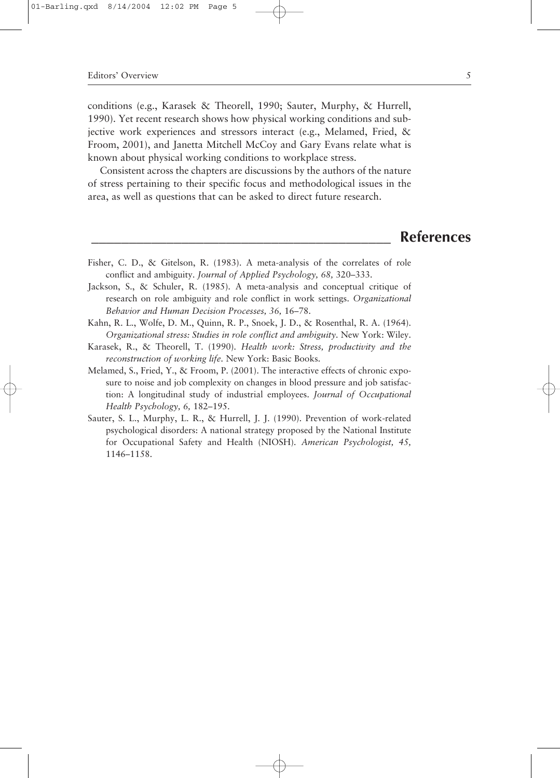## Editors' Overview 5

conditions (e.g., Karasek & Theorell, 1990; Sauter, Murphy, & Hurrell, 1990). Yet recent research shows how physical working conditions and subjective work experiences and stressors interact (e.g., Melamed, Fried, & Froom, 2001), and Janetta Mitchell McCoy and Gary Evans relate what is known about physical working conditions to workplace stress.

Consistent across the chapters are discussions by the authors of the nature of stress pertaining to their specific focus and methodological issues in the area, as well as questions that can be asked to direct future research.

## **\_\_\_\_\_\_\_\_\_\_\_\_\_\_\_\_\_\_\_\_\_\_\_\_\_\_\_\_\_\_\_\_\_\_\_\_\_\_\_\_ References**

- Fisher, C. D., & Gitelson, R. (1983). A meta-analysis of the correlates of role conflict and ambiguity. *Journal of Applied Psychology, 68,* 320–333.
- Jackson, S., & Schuler, R. (1985). A meta-analysis and conceptual critique of research on role ambiguity and role conflict in work settings. *Organizational Behavior and Human Decision Processes, 36,* 16–78.
- Kahn, R. L., Wolfe, D. M., Quinn, R. P., Snoek, J. D., & Rosenthal, R. A. (1964). *Organizational stress: Studies in role conflict and ambiguity*. New York: Wiley.
- Karasek, R., & Theorell, T. (1990). *Health work: Stress, productivity and the reconstruction of working life*. New York: Basic Books.
- Melamed, S., Fried, Y., & Froom, P. (2001). The interactive effects of chronic exposure to noise and job complexity on changes in blood pressure and job satisfaction: A longitudinal study of industrial employees. *Journal of Occupational Health Psychology, 6,* 182–195.
- Sauter, S. L., Murphy, L. R., & Hurrell, J. J. (1990). Prevention of work-related psychological disorders: A national strategy proposed by the National Institute for Occupational Safety and Health (NIOSH). *American Psychologist, 45,* 1146–1158.